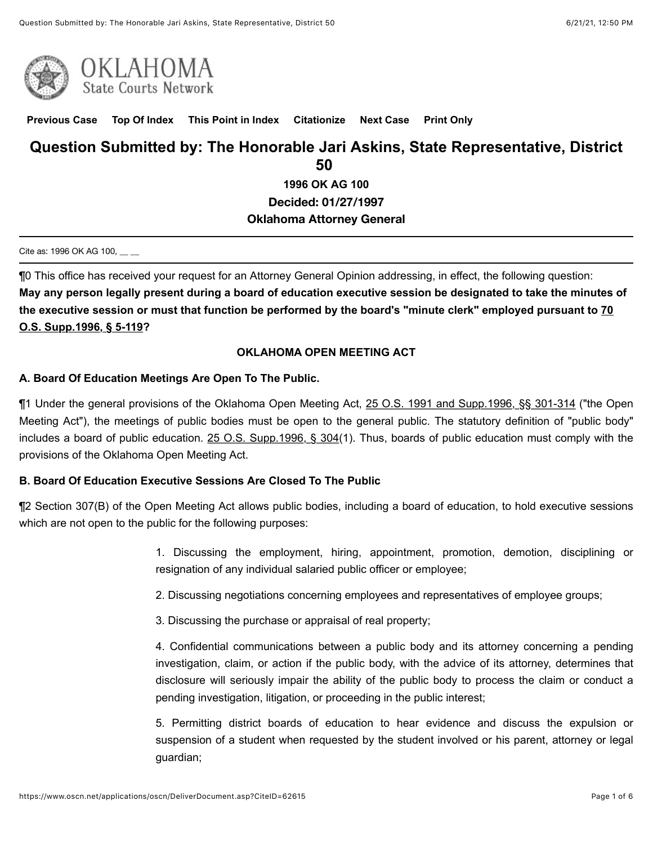

**[Previous Case](javascript:GetPrevious();) [Top Of Index](javascript:GetIndex();) [This Point in Index](javascript:GetHereInIndex();) [Citationize](javascript:GetCitationize();) [Next Case](javascript:GetNext();) [Print Only](javascript:PrintOnly();)**

# **Question Submitted by: The Honorable Jari Askins, State Representative, District 50**

**1996 OK AG 100 Decided: 01/27/1997**

### **Oklahoma Attorney General**

#### Cite as: 1996 OK AG 100, \_\_ \_

¶0 This office has received your request for an Attorney General Opinion addressing, in effect, the following question: **May any person legally present during a board of education executive session be designated to take the minutes of [the executive session or must that function be performed by the board's "minute clerk" employed pursuant to 70](https://www.oscn.net/applications/oscn/deliverdocument.asp?citeid=89858&date=1/27/1997) O.S. Supp.1996, § 5-119?**

### **OKLAHOMA OPEN MEETING ACT**

### **A. Board Of Education Meetings Are Open To The Public.**

¶1 Under the general provisions of the Oklahoma Open Meeting Act, [25 O.S. 1991 and Supp.1996, §§ 301-314](https://www.oscn.net/applications/oscn/deliverdocument.asp?citeid=73425&date=1/27/1997) ("the Open Meeting Act"), the meetings of public bodies must be open to the general public. The statutory definition of "public body" includes a board of public education. [25 O.S. Supp.1996, § 304\(](https://www.oscn.net/applications/oscn/deliverdocument.asp?citeid=73428&date=1/27/1997)1). Thus, boards of public education must comply with the provisions of the Oklahoma Open Meeting Act.

### **B. Board Of Education Executive Sessions Are Closed To The Public**

¶2 Section 307(B) of the Open Meeting Act allows public bodies, including a board of education, to hold executive sessions which are not open to the public for the following purposes:

> 1. Discussing the employment, hiring, appointment, promotion, demotion, disciplining or resignation of any individual salaried public officer or employee;

2. Discussing negotiations concerning employees and representatives of employee groups;

3. Discussing the purchase or appraisal of real property;

4. Confidential communications between a public body and its attorney concerning a pending investigation, claim, or action if the public body, with the advice of its attorney, determines that disclosure will seriously impair the ability of the public body to process the claim or conduct a pending investigation, litigation, or proceeding in the public interest;

5. Permitting district boards of education to hear evidence and discuss the expulsion or suspension of a student when requested by the student involved or his parent, attorney or legal guardian;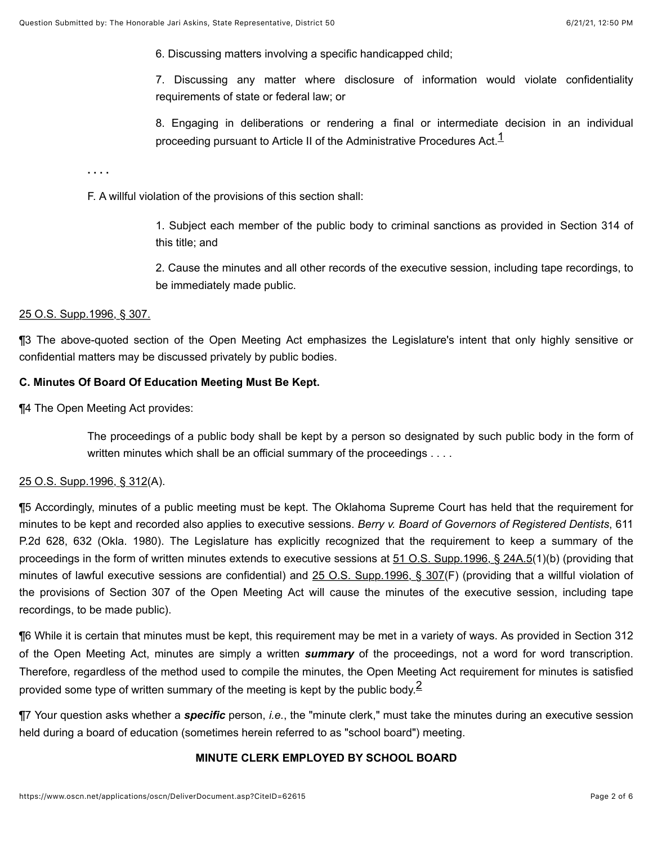6. Discussing matters involving a specific handicapped child;

7. Discussing any matter where disclosure of information would violate confidentiality requirements of state or federal law; or

<span id="page-1-0"></span>8. Engaging in deliberations or rendering a final or intermediate decision in an individual proceeding pursuant to Article II of the Administrative Procedures Act. $1$ 

**. . . .**

F. A willful violation of the provisions of this section shall:

1. Subject each member of the public body to criminal sanctions as provided in Section 314 of this title; and

2. Cause the minutes and all other records of the executive session, including tape recordings, to be immediately made public.

#### [25 O.S. Supp.1996, § 307.](https://www.oscn.net/applications/oscn/deliverdocument.asp?citeid=73431&date=1/27/1997)

¶3 The above-quoted section of the Open Meeting Act emphasizes the Legislature's intent that only highly sensitive or confidential matters may be discussed privately by public bodies.

### **C. Minutes Of Board Of Education Meeting Must Be Kept.**

¶4 The Open Meeting Act provides:

The proceedings of a public body shall be kept by a person so designated by such public body in the form of written minutes which shall be an official summary of the proceedings . . . .

#### [25 O.S. Supp.1996, § 312](https://www.oscn.net/applications/oscn/deliverdocument.asp?citeid=73437&date=1/27/1997)(A).

¶5 Accordingly, minutes of a public meeting must be kept. The Oklahoma Supreme Court has held that the requirement for minutes to be kept and recorded also applies to executive sessions. *Berry v. Board of Governors of Registered Dentists*, 611 P.2d 628, 632 (Okla. 1980). The Legislature has explicitly recognized that the requirement to keep a summary of the proceedings in the form of written minutes extends to executive sessions at [51 O.S. Supp.1996, § 24A.5](https://www.oscn.net/applications/oscn/deliverdocument.asp?citeid=80292&date=1/27/1997)(1)(b) (providing that minutes of lawful executive sessions are confidential) and [25 O.S. Supp.1996, § 307\(](https://www.oscn.net/applications/oscn/deliverdocument.asp?citeid=73431&date=1/27/1997)F) (providing that a willful violation of the provisions of Section 307 of the Open Meeting Act will cause the minutes of the executive session, including tape recordings, to be made public).

¶6 While it is certain that minutes must be kept, this requirement may be met in a variety of ways. As provided in Section 312 of the Open Meeting Act, minutes are simply a written *summary* of the proceedings, not a word for word transcription. Therefore, regardless of the method used to compile the minutes, the Open Meeting Act requirement for minutes is satisfied provided some type of written summary of the meeting is kept by the public body.<sup>2</sup>

¶7 Your question asks whether a *specific* person, *i.e.*, the "minute clerk," must take the minutes during an executive session held during a board of education (sometimes herein referred to as "school board") meeting.

#### <span id="page-1-1"></span>**MINUTE CLERK EMPLOYED BY SCHOOL BOARD**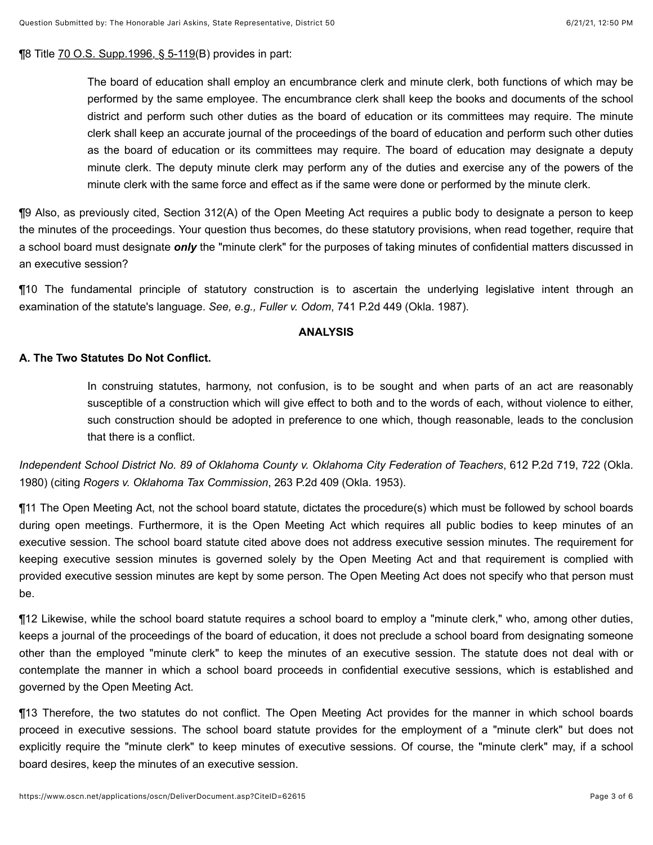¶8 Title [70 O.S. Supp.1996, § 5-119](https://www.oscn.net/applications/oscn/deliverdocument.asp?citeid=89858&date=1/27/1997)(B) provides in part:

The board of education shall employ an encumbrance clerk and minute clerk, both functions of which may be performed by the same employee. The encumbrance clerk shall keep the books and documents of the school district and perform such other duties as the board of education or its committees may require. The minute clerk shall keep an accurate journal of the proceedings of the board of education and perform such other duties as the board of education or its committees may require. The board of education may designate a deputy minute clerk. The deputy minute clerk may perform any of the duties and exercise any of the powers of the minute clerk with the same force and effect as if the same were done or performed by the minute clerk.

¶9 Also, as previously cited, Section 312(A) of the Open Meeting Act requires a public body to designate a person to keep the minutes of the proceedings. Your question thus becomes, do these statutory provisions, when read together, require that a school board must designate *only* the "minute clerk" for the purposes of taking minutes of confidential matters discussed in an executive session?

¶10 The fundamental principle of statutory construction is to ascertain the underlying legislative intent through an examination of the statute's language. *See, e.g., Fuller v. Odom*, 741 P.2d 449 (Okla. 1987).

#### **ANALYSIS**

### **A. The Two Statutes Do Not Conflict.**

In construing statutes, harmony, not confusion, is to be sought and when parts of an act are reasonably susceptible of a construction which will give effect to both and to the words of each, without violence to either, such construction should be adopted in preference to one which, though reasonable, leads to the conclusion that there is a conflict.

*Independent School District No. 89 of Oklahoma County v. Oklahoma City Federation of Teachers*, 612 P.2d 719, 722 (Okla. 1980) (citing *Rogers v. Oklahoma Tax Commission*, 263 P.2d 409 (Okla. 1953).

¶11 The Open Meeting Act, not the school board statute, dictates the procedure(s) which must be followed by school boards during open meetings. Furthermore, it is the Open Meeting Act which requires all public bodies to keep minutes of an executive session. The school board statute cited above does not address executive session minutes. The requirement for keeping executive session minutes is governed solely by the Open Meeting Act and that requirement is complied with provided executive session minutes are kept by some person. The Open Meeting Act does not specify who that person must be.

¶12 Likewise, while the school board statute requires a school board to employ a "minute clerk," who, among other duties, keeps a journal of the proceedings of the board of education, it does not preclude a school board from designating someone other than the employed "minute clerk" to keep the minutes of an executive session. The statute does not deal with or contemplate the manner in which a school board proceeds in confidential executive sessions, which is established and governed by the Open Meeting Act.

¶13 Therefore, the two statutes do not conflict. The Open Meeting Act provides for the manner in which school boards proceed in executive sessions. The school board statute provides for the employment of a "minute clerk" but does not explicitly require the "minute clerk" to keep minutes of executive sessions. Of course, the "minute clerk" may, if a school board desires, keep the minutes of an executive session.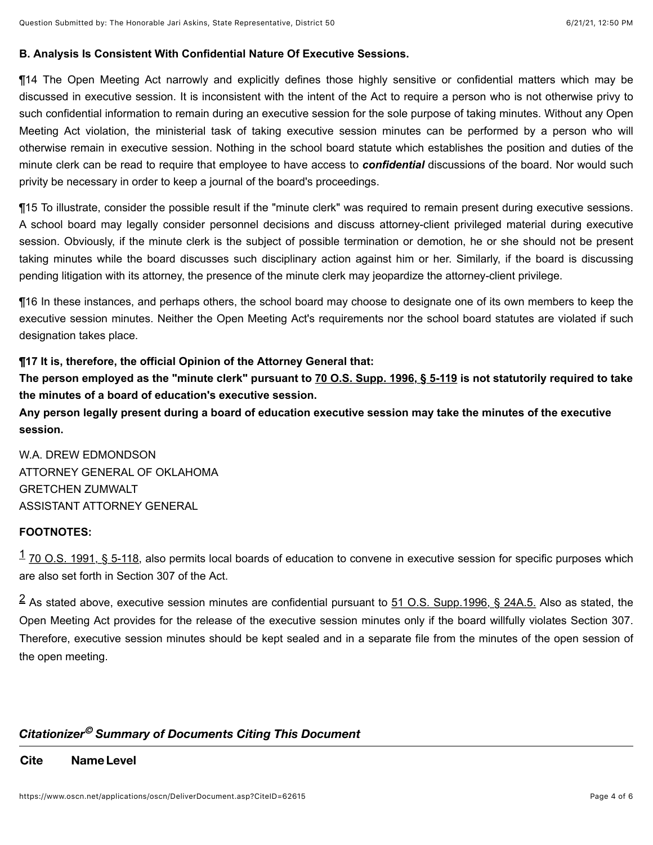## **B. Analysis Is Consistent With Confidential Nature Of Executive Sessions.**

¶14 The Open Meeting Act narrowly and explicitly defines those highly sensitive or confidential matters which may be discussed in executive session. It is inconsistent with the intent of the Act to require a person who is not otherwise privy to such confidential information to remain during an executive session for the sole purpose of taking minutes. Without any Open Meeting Act violation, the ministerial task of taking executive session minutes can be performed by a person who will otherwise remain in executive session. Nothing in the school board statute which establishes the position and duties of the minute clerk can be read to require that employee to have access to *confidential* discussions of the board. Nor would such privity be necessary in order to keep a journal of the board's proceedings.

¶15 To illustrate, consider the possible result if the "minute clerk" was required to remain present during executive sessions. A school board may legally consider personnel decisions and discuss attorney-client privileged material during executive session. Obviously, if the minute clerk is the subject of possible termination or demotion, he or she should not be present taking minutes while the board discusses such disciplinary action against him or her. Similarly, if the board is discussing pending litigation with its attorney, the presence of the minute clerk may jeopardize the attorney-client privilege.

¶16 In these instances, and perhaps others, the school board may choose to designate one of its own members to keep the executive session minutes. Neither the Open Meeting Act's requirements nor the school board statutes are violated if such designation takes place.

## **¶17 It is, therefore, the official Opinion of the Attorney General that:**

**The person employed as the "minute clerk" pursuant to [70 O.S. Supp. 1996, § 5-119](https://www.oscn.net/applications/oscn/deliverdocument.asp?citeid=89858&date=1/27/1997) is not statutorily required to take the minutes of a board of education's executive session.** 

**Any person legally present during a board of education executive session may take the minutes of the executive session.**

W.A. DREW EDMONDSON ATTORNEY GENERAL OF OKLAHOMA GRETCHEN ZUMWALT ASSISTANT ATTORNEY GENERAL

## **FOOTNOTES:**

<span id="page-3-0"></span> $1$  [70 O.S. 1991, § 5-118,](https://www.oscn.net/applications/oscn/deliverdocument.asp?citeid=89857&date=1/27/1997) also permits local boards of education to convene in executive session for specific purposes which are also set forth in Section 307 of the Act.

<span id="page-3-1"></span> $^2$  $^2$  As stated above, executive session minutes are confidential pursuant to  $51$  O.S. Supp.1996, § 24A.5. Also as stated, the Open Meeting Act provides for the release of the executive session minutes only if the board willfully violates Section 307. Therefore, executive session minutes should be kept sealed and in a separate file from the minutes of the open session of the open meeting.

## *Citationizer Summary of Documents Citing This Document ©*

**Cite NameLevel**